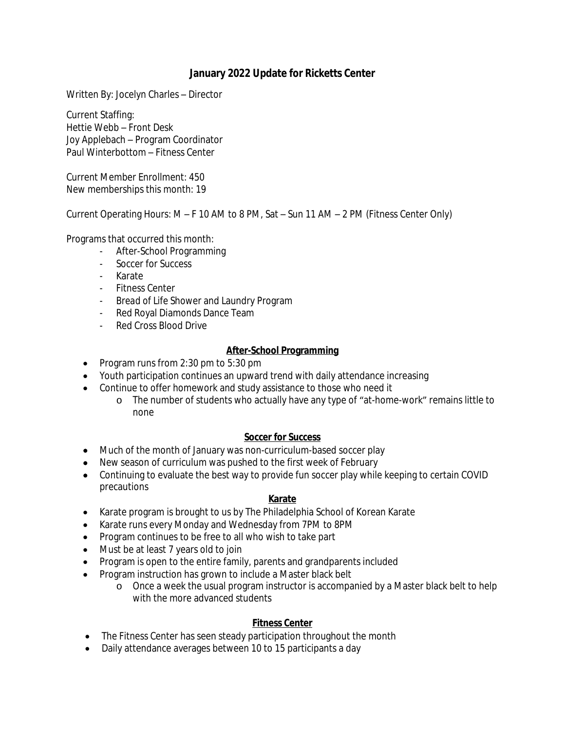## **January 2022 Update for Ricketts Center**

Written By: Jocelyn Charles – Director

Current Staffing: Hettie Webb – Front Desk Joy Applebach – Program Coordinator Paul Winterbottom – Fitness Center

Current Member Enrollment: 450 New memberships this month: 19

Current Operating Hours: M – F 10 AM to 8 PM, Sat – Sun 11 AM – 2 PM (Fitness Center Only)

Programs that occurred this month:

- After-School Programming
- Soccer for Success
- Karate
- Fitness Center
- *Bread of Life* Shower and Laundry Program
- Red Royal Diamonds Dance Team
- Red Cross Blood Drive

### **After-School Programming**

- Program runs from 2:30 pm to 5:30 pm
- Youth participation continues an upward trend with daily attendance increasing
- Continue to offer homework and study assistance to those who need it
	- o The number of students who actually have any type of "at-home-work" remains little to none

#### **Soccer for Success**

- Much of the month of January was non-curriculum-based soccer play
- New season of curriculum was pushed to the first week of February
- Continuing to evaluate the best way to provide fun soccer play while keeping to certain COVID precautions

#### **Karate**

- Karate program is brought to us by The Philadelphia School of Korean Karate
- Karate runs every Monday and Wednesday from 7PM to 8PM
- Program continues to be free to all who wish to take part
- Must be at least 7 years old to join
- Program is open to the entire family, parents and grandparents included
- Program instruction has grown to include a Master black belt
	- o Once a week the usual program instructor is accompanied by a Master black belt to help with the more advanced students

#### **Fitness Center**

- The Fitness Center has seen steady participation throughout the month
- Daily attendance averages between 10 to 15 participants a day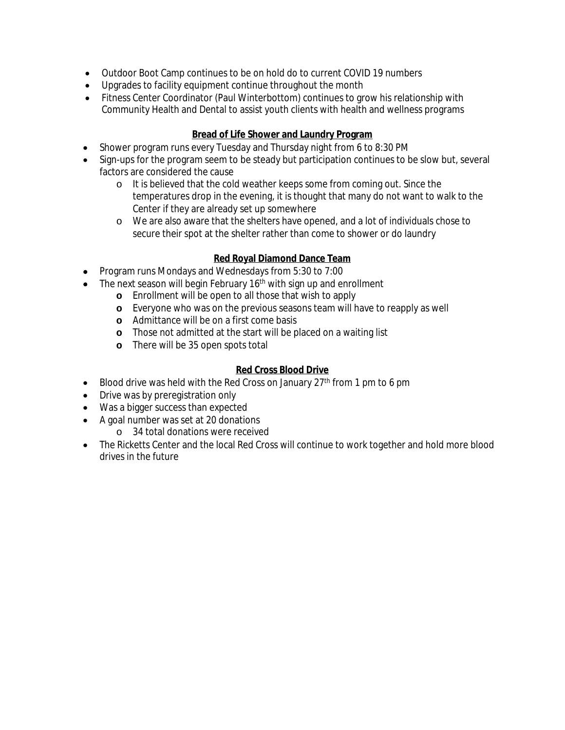- Outdoor Boot Camp continues to be on hold do to current COVID 19 numbers
- Upgrades to facility equipment continue throughout the month
- Fitness Center Coordinator (Paul Winterbottom) continues to grow his relationship with Community Health and Dental to assist youth clients with health and wellness programs

## **Bread of Life Shower and Laundry Program**

- Shower program runs every Tuesday and Thursday night from 6 to 8:30 PM
- Sign-ups for the program seem to be steady but participation continues to be slow but, several factors are considered the cause
	- o It is believed that the cold weather keeps some from coming out. Since the temperatures drop in the evening, it is thought that many do not want to walk to the Center if they are already set up somewhere
	- o We are also aware that the shelters have opened, and a lot of individuals chose to secure their spot at the shelter rather than come to shower or do laundry

## **Red Royal Diamond Dance Team**

- Program runs Mondays and Wednesdays from 5:30 to 7:00
- $\bullet$  The next season will begin February 16<sup>th</sup> with sign up and enrollment
	- **o** Enrollment will be open to all those that wish to apply
		- **o** Everyone who was on the previous seasons team will have to reapply as well
		- **o** Admittance will be on a first come basis
		- **o** Those not admitted at the start will be placed on a waiting list
		- **o** There will be 35 open spots total

## **Red Cross Blood Drive**

- Blood drive was held with the Red Cross on January  $27<sup>th</sup>$  from 1 pm to 6 pm
- Drive was by preregistration only
- Was a bigger success than expected
- A goal number was set at 20 donations
	- o 34 total donations were received
- The Ricketts Center and the local Red Cross will continue to work together and hold more blood drives in the future